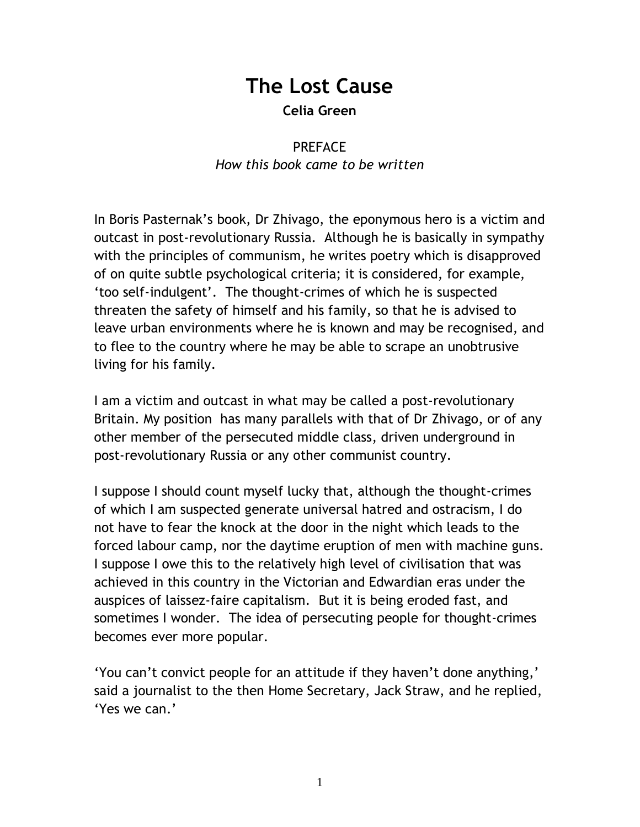## **The Lost Cause Celia Green**

## PREFACE *How this book came to be written*

In Boris Pasternak"s book, Dr Zhivago, the eponymous hero is a victim and outcast in post-revolutionary Russia. Although he is basically in sympathy with the principles of communism, he writes poetry which is disapproved of on quite subtle psychological criteria; it is considered, for example, "too self-indulgent". The thought-crimes of which he is suspected threaten the safety of himself and his family, so that he is advised to leave urban environments where he is known and may be recognised, and to flee to the country where he may be able to scrape an unobtrusive living for his family.

I am a victim and outcast in what may be called a post-revolutionary Britain. My position has many parallels with that of Dr Zhivago, or of any other member of the persecuted middle class, driven underground in post-revolutionary Russia or any other communist country.

I suppose I should count myself lucky that, although the thought-crimes of which I am suspected generate universal hatred and ostracism, I do not have to fear the knock at the door in the night which leads to the forced labour camp, nor the daytime eruption of men with machine guns. I suppose I owe this to the relatively high level of civilisation that was achieved in this country in the Victorian and Edwardian eras under the auspices of laissez-faire capitalism. But it is being eroded fast, and sometimes I wonder. The idea of persecuting people for thought-crimes becomes ever more popular.

"You can"t convict people for an attitude if they haven"t done anything," said a journalist to the then Home Secretary, Jack Straw, and he replied, "Yes we can."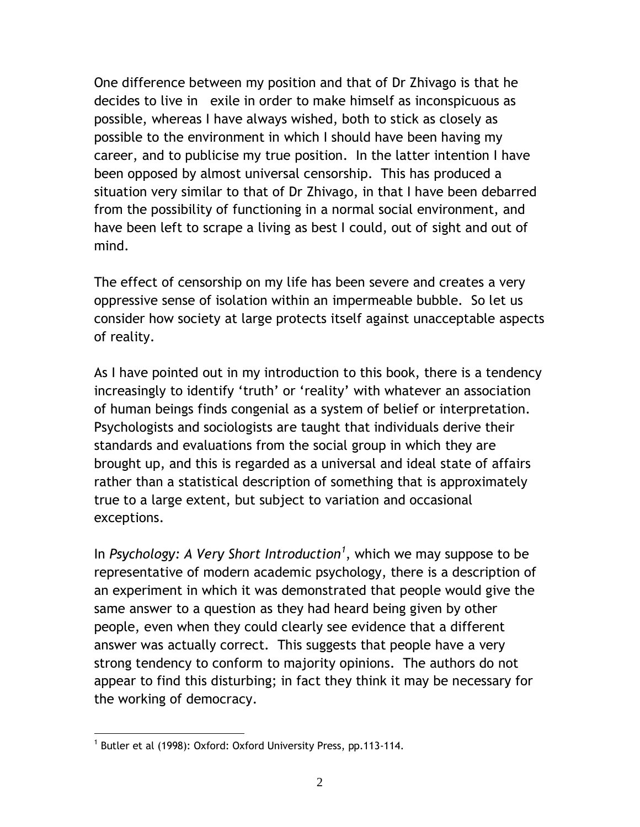One difference between my position and that of Dr Zhivago is that he decides to live in exile in order to make himself as inconspicuous as possible, whereas I have always wished, both to stick as closely as possible to the environment in which I should have been having my career, and to publicise my true position. In the latter intention I have been opposed by almost universal censorship. This has produced a situation very similar to that of Dr Zhivago, in that I have been debarred from the possibility of functioning in a normal social environment, and have been left to scrape a living as best I could, out of sight and out of mind.

The effect of censorship on my life has been severe and creates a very oppressive sense of isolation within an impermeable bubble. So let us consider how society at large protects itself against unacceptable aspects of reality.

As I have pointed out in my introduction to this book, there is a tendency increasingly to identify 'truth' or 'reality' with whatever an association of human beings finds congenial as a system of belief or interpretation. Psychologists and sociologists are taught that individuals derive their standards and evaluations from the social group in which they are brought up, and this is regarded as a universal and ideal state of affairs rather than a statistical description of something that is approximately true to a large extent, but subject to variation and occasional exceptions.

In *Psychology: A Very Short Introduction<sup>1</sup>* , which we may suppose to be representative of modern academic psychology, there is a description of an experiment in which it was demonstrated that people would give the same answer to a question as they had heard being given by other people, even when they could clearly see evidence that a different answer was actually correct. This suggests that people have a very strong tendency to conform to majority opinions. The authors do not appear to find this disturbing; in fact they think it may be necessary for the working of democracy.

 $\overline{a}$ 

<sup>&</sup>lt;sup>1</sup> Butler et al (1998): Oxford: Oxford University Press, pp.113-114.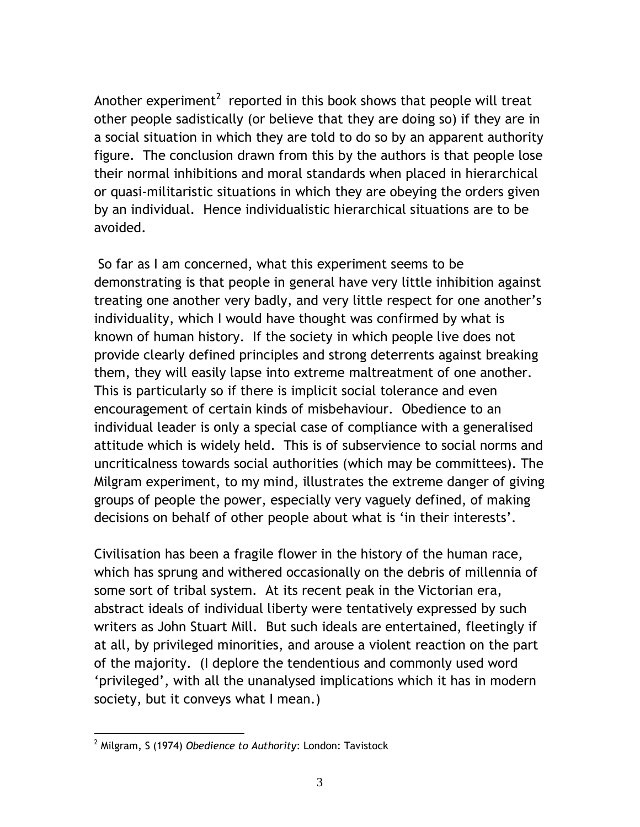Another experiment<sup>2</sup> reported in this book shows that people will treat other people sadistically (or believe that they are doing so) if they are in a social situation in which they are told to do so by an apparent authority figure. The conclusion drawn from this by the authors is that people lose their normal inhibitions and moral standards when placed in hierarchical or quasi-militaristic situations in which they are obeying the orders given by an individual. Hence individualistic hierarchical situations are to be avoided.

So far as I am concerned, what this experiment seems to be demonstrating is that people in general have very little inhibition against treating one another very badly, and very little respect for one another"s individuality, which I would have thought was confirmed by what is known of human history. If the society in which people live does not provide clearly defined principles and strong deterrents against breaking them, they will easily lapse into extreme maltreatment of one another. This is particularly so if there is implicit social tolerance and even encouragement of certain kinds of misbehaviour. Obedience to an individual leader is only a special case of compliance with a generalised attitude which is widely held. This is of subservience to social norms and uncriticalness towards social authorities (which may be committees). The Milgram experiment, to my mind, illustrates the extreme danger of giving groups of people the power, especially very vaguely defined, of making decisions on behalf of other people about what is 'in their interests'.

Civilisation has been a fragile flower in the history of the human race, which has sprung and withered occasionally on the debris of millennia of some sort of tribal system. At its recent peak in the Victorian era, abstract ideals of individual liberty were tentatively expressed by such writers as John Stuart Mill. But such ideals are entertained, fleetingly if at all, by privileged minorities, and arouse a violent reaction on the part of the majority. (I deplore the tendentious and commonly used word "privileged", with all the unanalysed implications which it has in modern society, but it conveys what I mean.)

 $\overline{a}$ 

<sup>2</sup> Milgram, S (1974) *Obedience to Authority*: London: Tavistock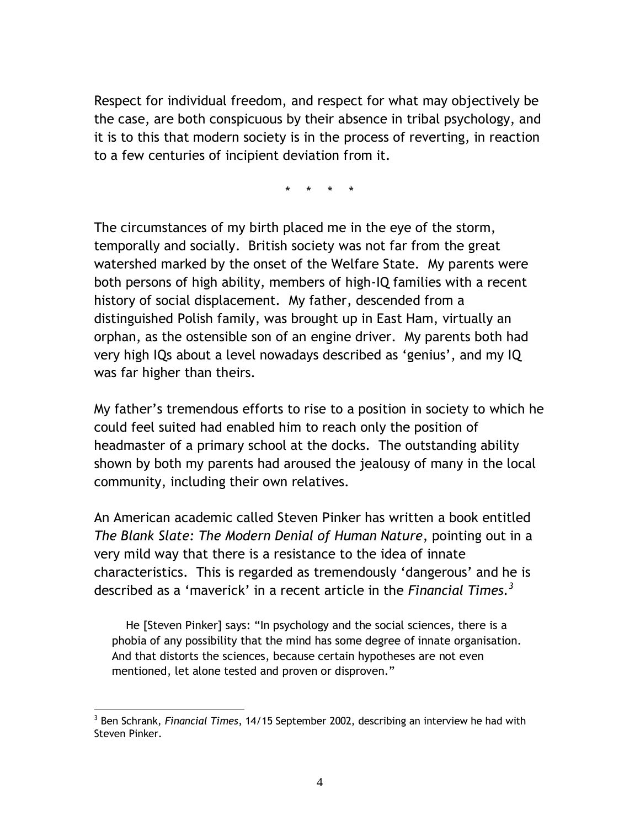Respect for individual freedom, and respect for what may objectively be the case, are both conspicuous by their absence in tribal psychology, and it is to this that modern society is in the process of reverting, in reaction to a few centuries of incipient deviation from it.

\* \* \* \*

The circumstances of my birth placed me in the eye of the storm, temporally and socially. British society was not far from the great watershed marked by the onset of the Welfare State. My parents were both persons of high ability, members of high-IQ families with a recent history of social displacement. My father, descended from a distinguished Polish family, was brought up in East Ham, virtually an orphan, as the ostensible son of an engine driver. My parents both had very high IQs about a level nowadays described as "genius", and my IQ was far higher than theirs.

My father"s tremendous efforts to rise to a position in society to which he could feel suited had enabled him to reach only the position of headmaster of a primary school at the docks. The outstanding ability shown by both my parents had aroused the jealousy of many in the local community, including their own relatives.

An American academic called Steven Pinker has written a book entitled *The Blank Slate: The Modern Denial of Human Nature*, pointing out in a very mild way that there is a resistance to the idea of innate characteristics. This is regarded as tremendously 'dangerous' and he is described as a "maverick" in a recent article in the *Financial Times.<sup>3</sup>*

 He [Steven Pinker] says: "In psychology and the social sciences, there is a phobia of any possibility that the mind has some degree of innate organisation. And that distorts the sciences, because certain hypotheses are not even mentioned, let alone tested and proven or disproven."

 $\overline{a}$ 

<sup>3</sup> Ben Schrank, *Financial Times*, 14/15 September 2002, describing an interview he had with Steven Pinker.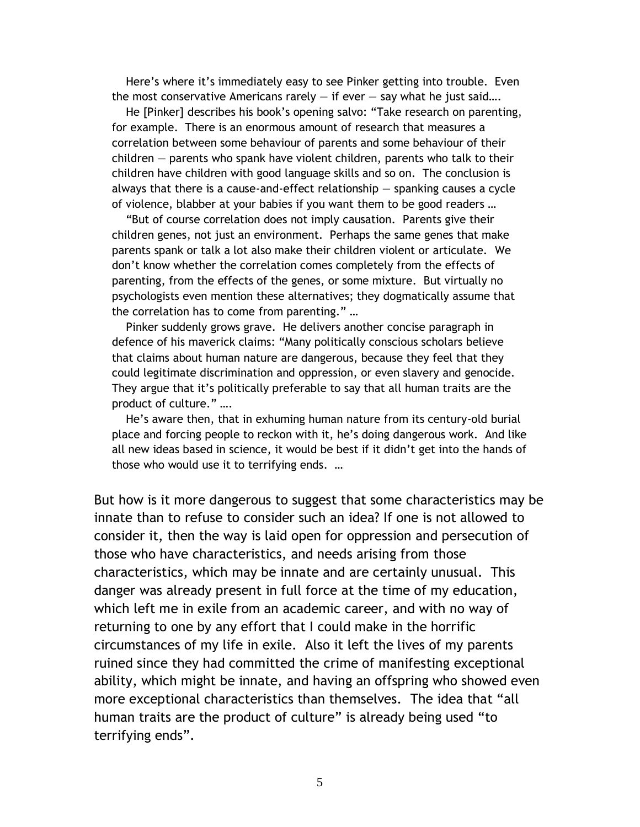Here's where it's immediately easy to see Pinker getting into trouble. Even the most conservative Americans rarely  $-$  if ever  $-$  say what he just said....

 He [Pinker] describes his book"s opening salvo: "Take research on parenting, for example. There is an enormous amount of research that measures a correlation between some behaviour of parents and some behaviour of their children — parents who spank have violent children, parents who talk to their children have children with good language skills and so on. The conclusion is always that there is a cause-and-effect relationship — spanking causes a cycle of violence, blabber at your babies if you want them to be good readers …

 "But of course correlation does not imply causation. Parents give their children genes, not just an environment. Perhaps the same genes that make parents spank or talk a lot also make their children violent or articulate. We don"t know whether the correlation comes completely from the effects of parenting, from the effects of the genes, or some mixture. But virtually no psychologists even mention these alternatives; they dogmatically assume that the correlation has to come from parenting." …

 Pinker suddenly grows grave. He delivers another concise paragraph in defence of his maverick claims: "Many politically conscious scholars believe that claims about human nature are dangerous, because they feel that they could legitimate discrimination and oppression, or even slavery and genocide. They argue that it"s politically preferable to say that all human traits are the product of culture." ….

He's aware then, that in exhuming human nature from its century-old burial place and forcing people to reckon with it, he"s doing dangerous work. And like all new ideas based in science, it would be best if it didn"t get into the hands of those who would use it to terrifying ends. …

But how is it more dangerous to suggest that some characteristics may be innate than to refuse to consider such an idea? If one is not allowed to consider it, then the way is laid open for oppression and persecution of those who have characteristics, and needs arising from those characteristics, which may be innate and are certainly unusual. This danger was already present in full force at the time of my education, which left me in exile from an academic career, and with no way of returning to one by any effort that I could make in the horrific circumstances of my life in exile. Also it left the lives of my parents ruined since they had committed the crime of manifesting exceptional ability, which might be innate, and having an offspring who showed even more exceptional characteristics than themselves. The idea that "all human traits are the product of culture" is already being used "to terrifying ends".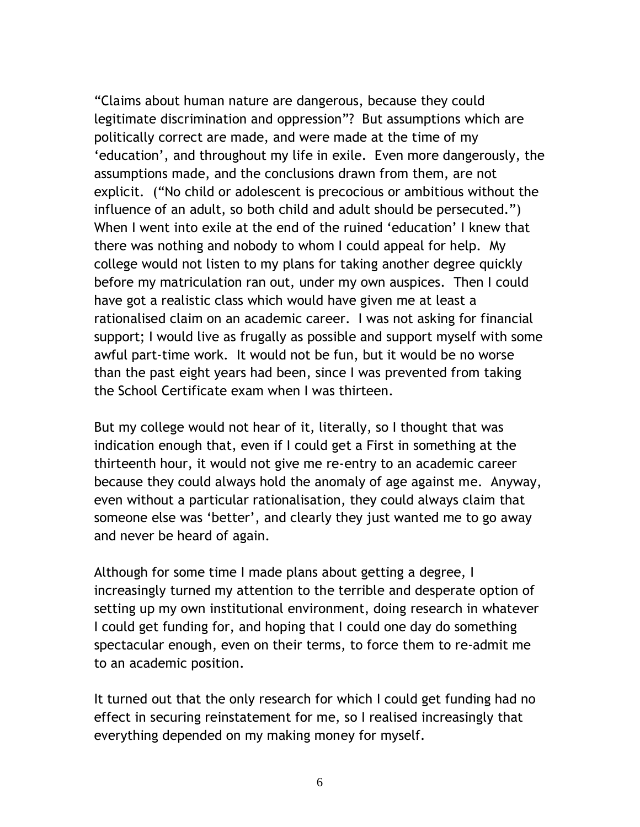"Claims about human nature are dangerous, because they could legitimate discrimination and oppression"? But assumptions which are politically correct are made, and were made at the time of my 'education', and throughout my life in exile. Even more dangerously, the assumptions made, and the conclusions drawn from them, are not explicit. ("No child or adolescent is precocious or ambitious without the influence of an adult, so both child and adult should be persecuted.") When I went into exile at the end of the ruined "education" I knew that there was nothing and nobody to whom I could appeal for help. My college would not listen to my plans for taking another degree quickly before my matriculation ran out, under my own auspices. Then I could have got a realistic class which would have given me at least a rationalised claim on an academic career. I was not asking for financial support; I would live as frugally as possible and support myself with some awful part-time work. It would not be fun, but it would be no worse than the past eight years had been, since I was prevented from taking the School Certificate exam when I was thirteen.

But my college would not hear of it, literally, so I thought that was indication enough that, even if I could get a First in something at the thirteenth hour, it would not give me re-entry to an academic career because they could always hold the anomaly of age against me. Anyway, even without a particular rationalisation, they could always claim that someone else was "better", and clearly they just wanted me to go away and never be heard of again.

Although for some time I made plans about getting a degree, I increasingly turned my attention to the terrible and desperate option of setting up my own institutional environment, doing research in whatever I could get funding for, and hoping that I could one day do something spectacular enough, even on their terms, to force them to re-admit me to an academic position.

It turned out that the only research for which I could get funding had no effect in securing reinstatement for me, so I realised increasingly that everything depended on my making money for myself.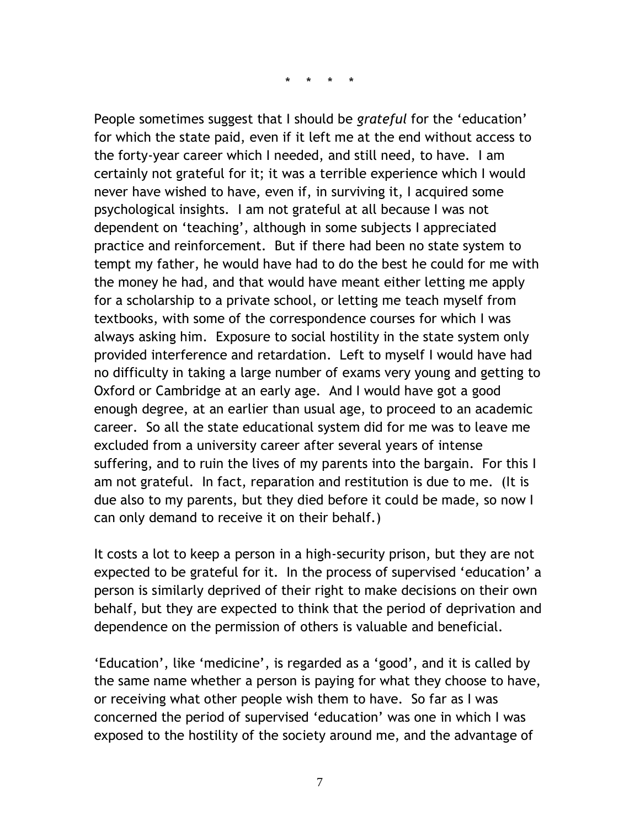\* \* \* \*

People sometimes suggest that I should be *grateful* for the "education" for which the state paid, even if it left me at the end without access to the forty-year career which I needed, and still need, to have. I am certainly not grateful for it; it was a terrible experience which I would never have wished to have, even if, in surviving it, I acquired some psychological insights. I am not grateful at all because I was not dependent on "teaching", although in some subjects I appreciated practice and reinforcement. But if there had been no state system to tempt my father, he would have had to do the best he could for me with the money he had, and that would have meant either letting me apply for a scholarship to a private school, or letting me teach myself from textbooks, with some of the correspondence courses for which I was always asking him. Exposure to social hostility in the state system only provided interference and retardation. Left to myself I would have had no difficulty in taking a large number of exams very young and getting to Oxford or Cambridge at an early age. And I would have got a good enough degree, at an earlier than usual age, to proceed to an academic career. So all the state educational system did for me was to leave me excluded from a university career after several years of intense suffering, and to ruin the lives of my parents into the bargain. For this I am not grateful. In fact, reparation and restitution is due to me. (It is due also to my parents, but they died before it could be made, so now I can only demand to receive it on their behalf.)

It costs a lot to keep a person in a high-security prison, but they are not expected to be grateful for it. In the process of supervised 'education' a person is similarly deprived of their right to make decisions on their own behalf, but they are expected to think that the period of deprivation and dependence on the permission of others is valuable and beneficial.

"Education", like "medicine", is regarded as a "good", and it is called by the same name whether a person is paying for what they choose to have, or receiving what other people wish them to have. So far as I was concerned the period of supervised "education" was one in which I was exposed to the hostility of the society around me, and the advantage of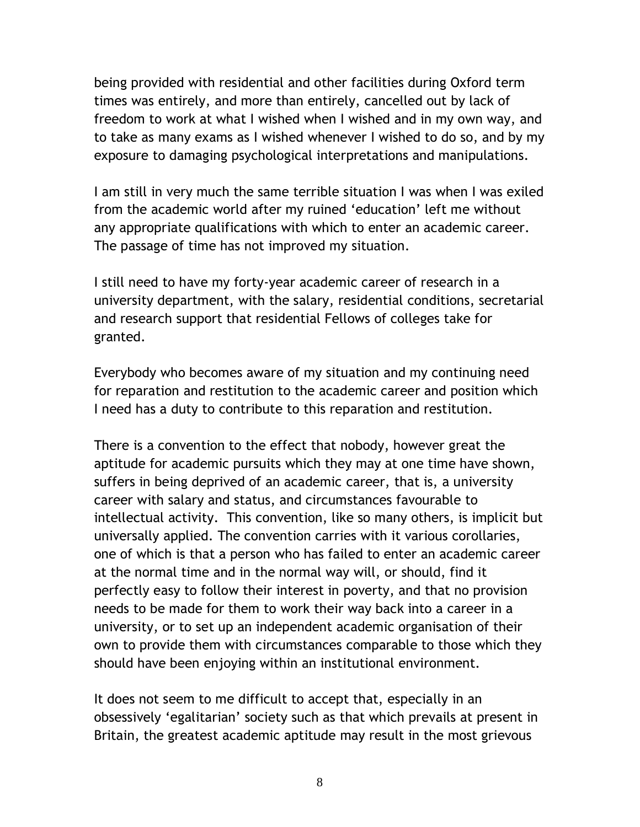being provided with residential and other facilities during Oxford term times was entirely, and more than entirely, cancelled out by lack of freedom to work at what I wished when I wished and in my own way, and to take as many exams as I wished whenever I wished to do so, and by my exposure to damaging psychological interpretations and manipulations.

I am still in very much the same terrible situation I was when I was exiled from the academic world after my ruined "education" left me without any appropriate qualifications with which to enter an academic career. The passage of time has not improved my situation.

I still need to have my forty-year academic career of research in a university department, with the salary, residential conditions, secretarial and research support that residential Fellows of colleges take for granted.

Everybody who becomes aware of my situation and my continuing need for reparation and restitution to the academic career and position which I need has a duty to contribute to this reparation and restitution.

There is a convention to the effect that nobody, however great the aptitude for academic pursuits which they may at one time have shown, suffers in being deprived of an academic career, that is, a university career with salary and status, and circumstances favourable to intellectual activity. This convention, like so many others, is implicit but universally applied. The convention carries with it various corollaries, one of which is that a person who has failed to enter an academic career at the normal time and in the normal way will, or should, find it perfectly easy to follow their interest in poverty, and that no provision needs to be made for them to work their way back into a career in a university, or to set up an independent academic organisation of their own to provide them with circumstances comparable to those which they should have been enjoying within an institutional environment.

It does not seem to me difficult to accept that, especially in an obsessively "egalitarian" society such as that which prevails at present in Britain, the greatest academic aptitude may result in the most grievous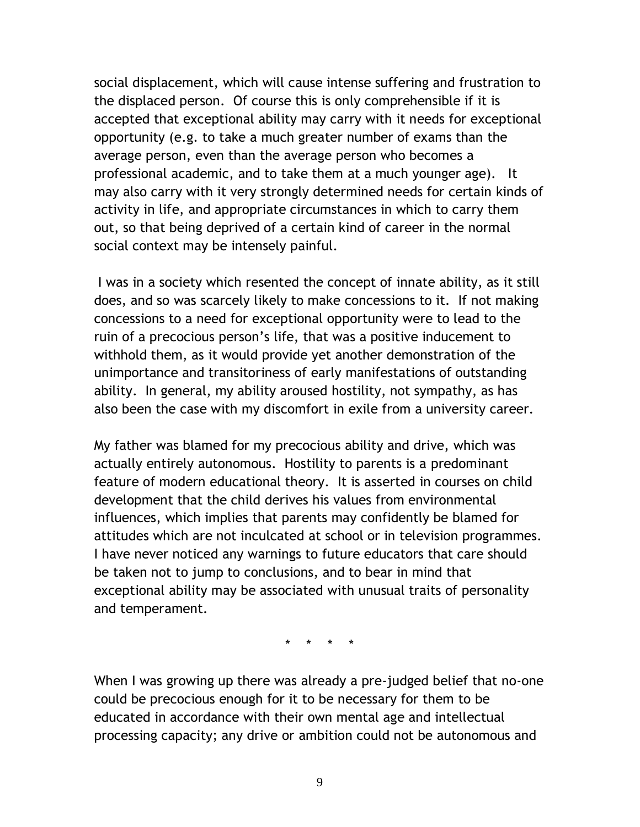social displacement, which will cause intense suffering and frustration to the displaced person. Of course this is only comprehensible if it is accepted that exceptional ability may carry with it needs for exceptional opportunity (e.g. to take a much greater number of exams than the average person, even than the average person who becomes a professional academic, and to take them at a much younger age). It may also carry with it very strongly determined needs for certain kinds of activity in life, and appropriate circumstances in which to carry them out, so that being deprived of a certain kind of career in the normal social context may be intensely painful.

I was in a society which resented the concept of innate ability, as it still does, and so was scarcely likely to make concessions to it. If not making concessions to a need for exceptional opportunity were to lead to the ruin of a precocious person's life, that was a positive inducement to withhold them, as it would provide yet another demonstration of the unimportance and transitoriness of early manifestations of outstanding ability. In general, my ability aroused hostility, not sympathy, as has also been the case with my discomfort in exile from a university career.

My father was blamed for my precocious ability and drive, which was actually entirely autonomous. Hostility to parents is a predominant feature of modern educational theory. It is asserted in courses on child development that the child derives his values from environmental influences, which implies that parents may confidently be blamed for attitudes which are not inculcated at school or in television programmes. I have never noticed any warnings to future educators that care should be taken not to jump to conclusions, and to bear in mind that exceptional ability may be associated with unusual traits of personality and temperament.

\* \* \* \*

When I was growing up there was already a pre-judged belief that no-one could be precocious enough for it to be necessary for them to be educated in accordance with their own mental age and intellectual processing capacity; any drive or ambition could not be autonomous and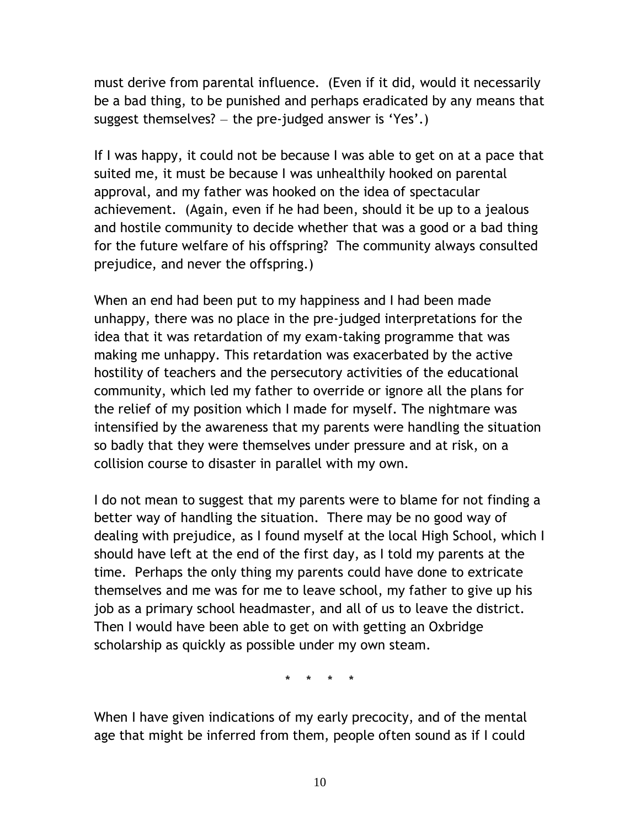must derive from parental influence. (Even if it did, would it necessarily be a bad thing, to be punished and perhaps eradicated by any means that suggest themselves?  $-$  the pre-judged answer is 'Yes'.)

If I was happy, it could not be because I was able to get on at a pace that suited me, it must be because I was unhealthily hooked on parental approval, and my father was hooked on the idea of spectacular achievement. (Again, even if he had been, should it be up to a jealous and hostile community to decide whether that was a good or a bad thing for the future welfare of his offspring? The community always consulted prejudice, and never the offspring.)

When an end had been put to my happiness and I had been made unhappy, there was no place in the pre-judged interpretations for the idea that it was retardation of my exam-taking programme that was making me unhappy. This retardation was exacerbated by the active hostility of teachers and the persecutory activities of the educational community, which led my father to override or ignore all the plans for the relief of my position which I made for myself. The nightmare was intensified by the awareness that my parents were handling the situation so badly that they were themselves under pressure and at risk, on a collision course to disaster in parallel with my own.

I do not mean to suggest that my parents were to blame for not finding a better way of handling the situation. There may be no good way of dealing with prejudice, as I found myself at the local High School, which I should have left at the end of the first day, as I told my parents at the time. Perhaps the only thing my parents could have done to extricate themselves and me was for me to leave school, my father to give up his job as a primary school headmaster, and all of us to leave the district. Then I would have been able to get on with getting an Oxbridge scholarship as quickly as possible under my own steam.

\* \* \* \*

When I have given indications of my early precocity, and of the mental age that might be inferred from them, people often sound as if I could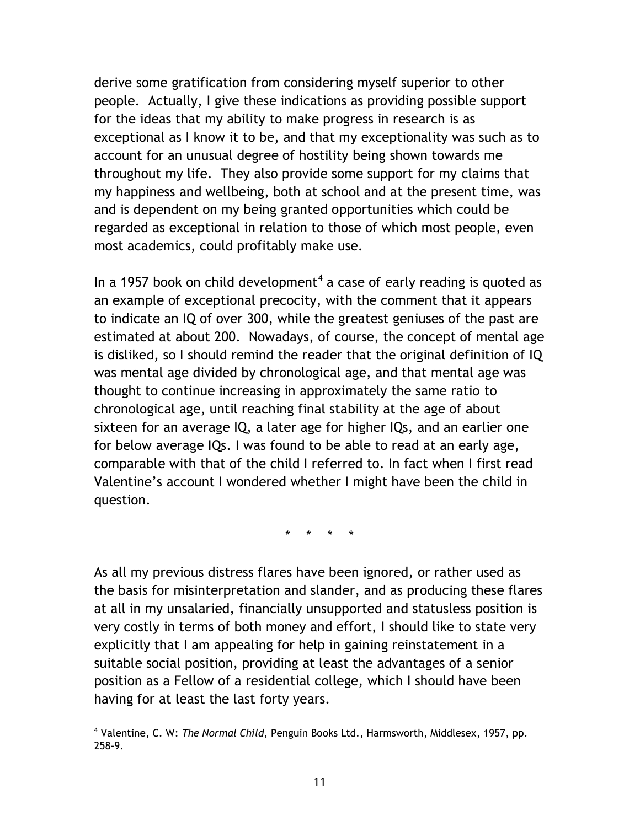derive some gratification from considering myself superior to other people. Actually, I give these indications as providing possible support for the ideas that my ability to make progress in research is as exceptional as I know it to be, and that my exceptionality was such as to account for an unusual degree of hostility being shown towards me throughout my life. They also provide some support for my claims that my happiness and wellbeing, both at school and at the present time, was and is dependent on my being granted opportunities which could be regarded as exceptional in relation to those of which most people, even most academics, could profitably make use.

In a 1957 book on child development<sup>4</sup> a case of early reading is quoted as an example of exceptional precocity, with the comment that it appears to indicate an IQ of over 300, while the greatest geniuses of the past are estimated at about 200. Nowadays, of course, the concept of mental age is disliked, so I should remind the reader that the original definition of IQ was mental age divided by chronological age, and that mental age was thought to continue increasing in approximately the same ratio to chronological age, until reaching final stability at the age of about sixteen for an average IQ, a later age for higher IQs, and an earlier one for below average IQs. I was found to be able to read at an early age, comparable with that of the child I referred to. In fact when I first read Valentine's account I wondered whether I might have been the child in question.

\* \* \* \*

As all my previous distress flares have been ignored, or rather used as the basis for misinterpretation and slander, and as producing these flares at all in my unsalaried, financially unsupported and statusless position is very costly in terms of both money and effort, I should like to state very explicitly that I am appealing for help in gaining reinstatement in a suitable social position, providing at least the advantages of a senior position as a Fellow of a residential college, which I should have been having for at least the last forty years.

 $\overline{a}$ 4 Valentine, C. W: *The Normal Child*, Penguin Books Ltd., Harmsworth, Middlesex, 1957, pp. 258-9.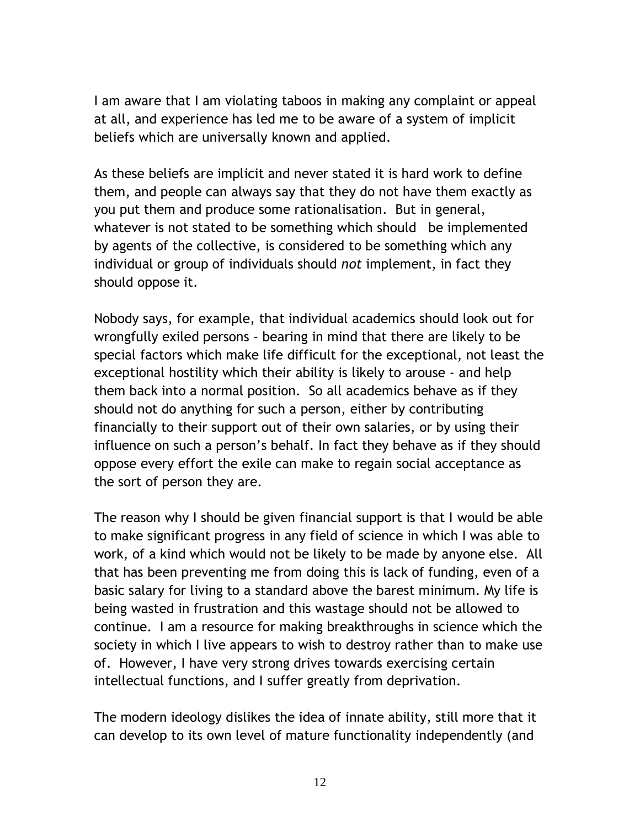I am aware that I am violating taboos in making any complaint or appeal at all, and experience has led me to be aware of a system of implicit beliefs which are universally known and applied.

As these beliefs are implicit and never stated it is hard work to define them, and people can always say that they do not have them exactly as you put them and produce some rationalisation. But in general, whatever is not stated to be something which should be implemented by agents of the collective, is considered to be something which any individual or group of individuals should *not* implement, in fact they should oppose it.

Nobody says, for example, that individual academics should look out for wrongfully exiled persons - bearing in mind that there are likely to be special factors which make life difficult for the exceptional, not least the exceptional hostility which their ability is likely to arouse - and help them back into a normal position. So all academics behave as if they should not do anything for such a person, either by contributing financially to their support out of their own salaries, or by using their influence on such a person's behalf. In fact they behave as if they should oppose every effort the exile can make to regain social acceptance as the sort of person they are.

The reason why I should be given financial support is that I would be able to make significant progress in any field of science in which I was able to work, of a kind which would not be likely to be made by anyone else. All that has been preventing me from doing this is lack of funding, even of a basic salary for living to a standard above the barest minimum. My life is being wasted in frustration and this wastage should not be allowed to continue. I am a resource for making breakthroughs in science which the society in which I live appears to wish to destroy rather than to make use of. However, I have very strong drives towards exercising certain intellectual functions, and I suffer greatly from deprivation.

The modern ideology dislikes the idea of innate ability, still more that it can develop to its own level of mature functionality independently (and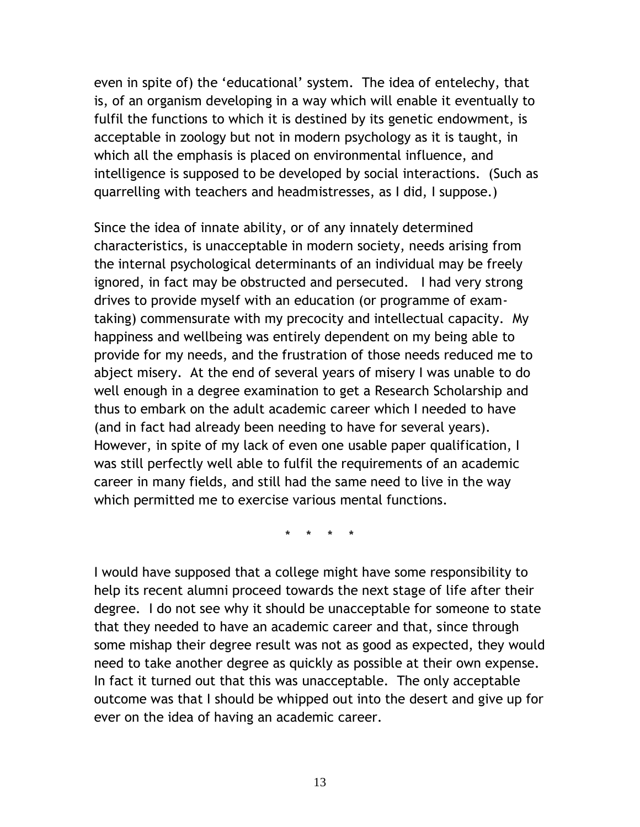even in spite of) the 'educational' system. The idea of entelechy, that is, of an organism developing in a way which will enable it eventually to fulfil the functions to which it is destined by its genetic endowment, is acceptable in zoology but not in modern psychology as it is taught, in which all the emphasis is placed on environmental influence, and intelligence is supposed to be developed by social interactions. (Such as quarrelling with teachers and headmistresses, as I did, I suppose.)

Since the idea of innate ability, or of any innately determined characteristics, is unacceptable in modern society, needs arising from the internal psychological determinants of an individual may be freely ignored, in fact may be obstructed and persecuted. I had very strong drives to provide myself with an education (or programme of examtaking) commensurate with my precocity and intellectual capacity. My happiness and wellbeing was entirely dependent on my being able to provide for my needs, and the frustration of those needs reduced me to abject misery. At the end of several years of misery I was unable to do well enough in a degree examination to get a Research Scholarship and thus to embark on the adult academic career which I needed to have (and in fact had already been needing to have for several years). However, in spite of my lack of even one usable paper qualification, I was still perfectly well able to fulfil the requirements of an academic career in many fields, and still had the same need to live in the way which permitted me to exercise various mental functions.

\* \* \* \*

I would have supposed that a college might have some responsibility to help its recent alumni proceed towards the next stage of life after their degree. I do not see why it should be unacceptable for someone to state that they needed to have an academic career and that, since through some mishap their degree result was not as good as expected, they would need to take another degree as quickly as possible at their own expense. In fact it turned out that this was unacceptable. The only acceptable outcome was that I should be whipped out into the desert and give up for ever on the idea of having an academic career.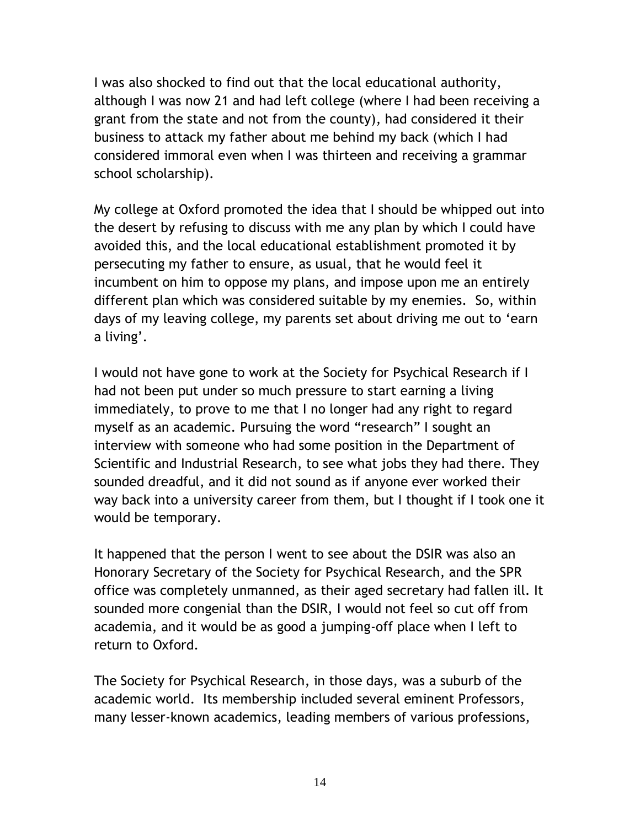I was also shocked to find out that the local educational authority, although I was now 21 and had left college (where I had been receiving a grant from the state and not from the county), had considered it their business to attack my father about me behind my back (which I had considered immoral even when I was thirteen and receiving a grammar school scholarship).

My college at Oxford promoted the idea that I should be whipped out into the desert by refusing to discuss with me any plan by which I could have avoided this, and the local educational establishment promoted it by persecuting my father to ensure, as usual, that he would feel it incumbent on him to oppose my plans, and impose upon me an entirely different plan which was considered suitable by my enemies. So, within days of my leaving college, my parents set about driving me out to "earn a living'.

I would not have gone to work at the Society for Psychical Research if I had not been put under so much pressure to start earning a living immediately, to prove to me that I no longer had any right to regard myself as an academic. Pursuing the word "research" I sought an interview with someone who had some position in the Department of Scientific and Industrial Research, to see what jobs they had there. They sounded dreadful, and it did not sound as if anyone ever worked their way back into a university career from them, but I thought if I took one it would be temporary.

It happened that the person I went to see about the DSIR was also an Honorary Secretary of the Society for Psychical Research, and the SPR office was completely unmanned, as their aged secretary had fallen ill. It sounded more congenial than the DSIR, I would not feel so cut off from academia, and it would be as good a jumping-off place when I left to return to Oxford.

The Society for Psychical Research, in those days, was a suburb of the academic world. Its membership included several eminent Professors, many lesser-known academics, leading members of various professions,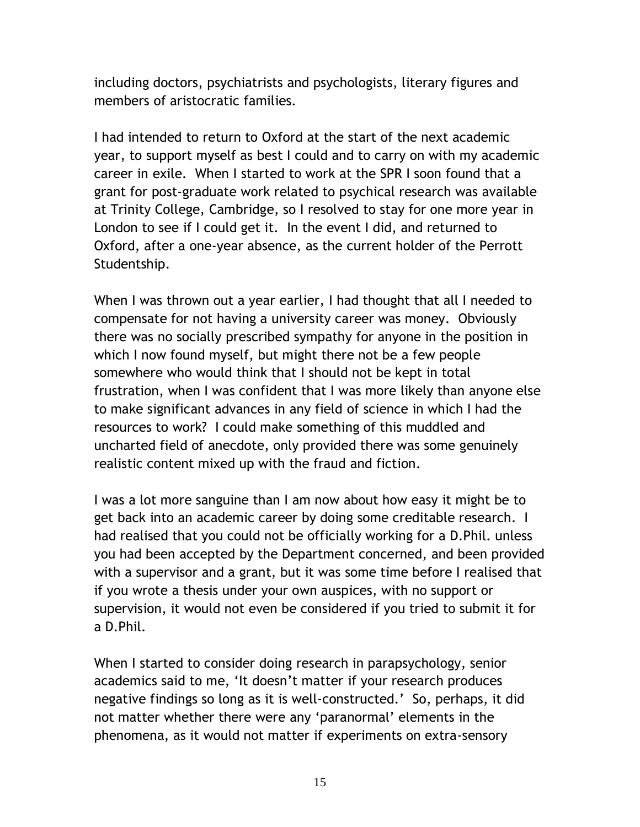including doctors, psychiatrists and psychologists, literary figures and members of aristocratic families.

I had intended to return to Oxford at the start of the next academic year, to support myself as best I could and to carry on with my academic career in exile. When I started to work at the SPR I soon found that a grant for post-graduate work related to psychical research was available at Trinity College, Cambridge, so I resolved to stay for one more year in London to see if I could get it. In the event I did, and returned to Oxford, after a one-year absence, as the current holder of the Perrott Studentship.

When I was thrown out a year earlier, I had thought that all I needed to compensate for not having a university career was money. Obviously there was no socially prescribed sympathy for anyone in the position in which I now found myself, but might there not be a few people somewhere who would think that I should not be kept in total frustration, when I was confident that I was more likely than anyone else to make significant advances in any field of science in which I had the resources to work? I could make something of this muddled and uncharted field of anecdote, only provided there was some genuinely realistic content mixed up with the fraud and fiction.

I was a lot more sanguine than I am now about how easy it might be to get back into an academic career by doing some creditable research. I had realised that you could not be officially working for a D.Phil. unless you had been accepted by the Department concerned, and been provided with a supervisor and a grant, but it was some time before I realised that if you wrote a thesis under your own auspices, with no support or supervision, it would not even be considered if you tried to submit it for a D.Phil.

When I started to consider doing research in parapsychology, senior academics said to me, "It doesn"t matter if your research produces negative findings so long as it is well-constructed." So, perhaps, it did not matter whether there were any 'paranormal' elements in the phenomena, as it would not matter if experiments on extra-sensory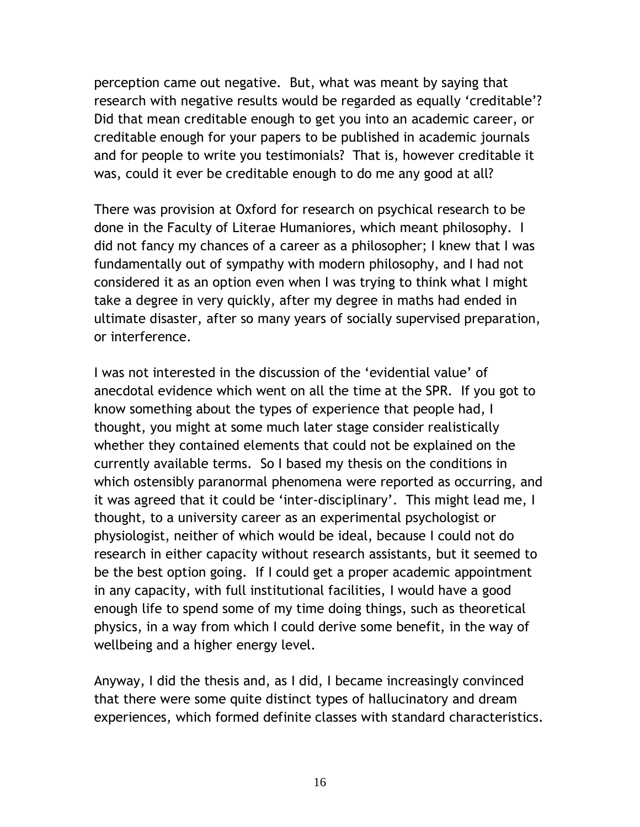perception came out negative. But, what was meant by saying that research with negative results would be regarded as equally "creditable"? Did that mean creditable enough to get you into an academic career, or creditable enough for your papers to be published in academic journals and for people to write you testimonials? That is, however creditable it was, could it ever be creditable enough to do me any good at all?

There was provision at Oxford for research on psychical research to be done in the Faculty of Literae Humaniores, which meant philosophy. I did not fancy my chances of a career as a philosopher; I knew that I was fundamentally out of sympathy with modern philosophy, and I had not considered it as an option even when I was trying to think what I might take a degree in very quickly, after my degree in maths had ended in ultimate disaster, after so many years of socially supervised preparation, or interference.

I was not interested in the discussion of the "evidential value" of anecdotal evidence which went on all the time at the SPR. If you got to know something about the types of experience that people had, I thought, you might at some much later stage consider realistically whether they contained elements that could not be explained on the currently available terms. So I based my thesis on the conditions in which ostensibly paranormal phenomena were reported as occurring, and it was agreed that it could be 'inter-disciplinary'. This might lead me, I thought, to a university career as an experimental psychologist or physiologist, neither of which would be ideal, because I could not do research in either capacity without research assistants, but it seemed to be the best option going. If I could get a proper academic appointment in any capacity, with full institutional facilities, I would have a good enough life to spend some of my time doing things, such as theoretical physics, in a way from which I could derive some benefit, in the way of wellbeing and a higher energy level.

Anyway, I did the thesis and, as I did, I became increasingly convinced that there were some quite distinct types of hallucinatory and dream experiences, which formed definite classes with standard characteristics.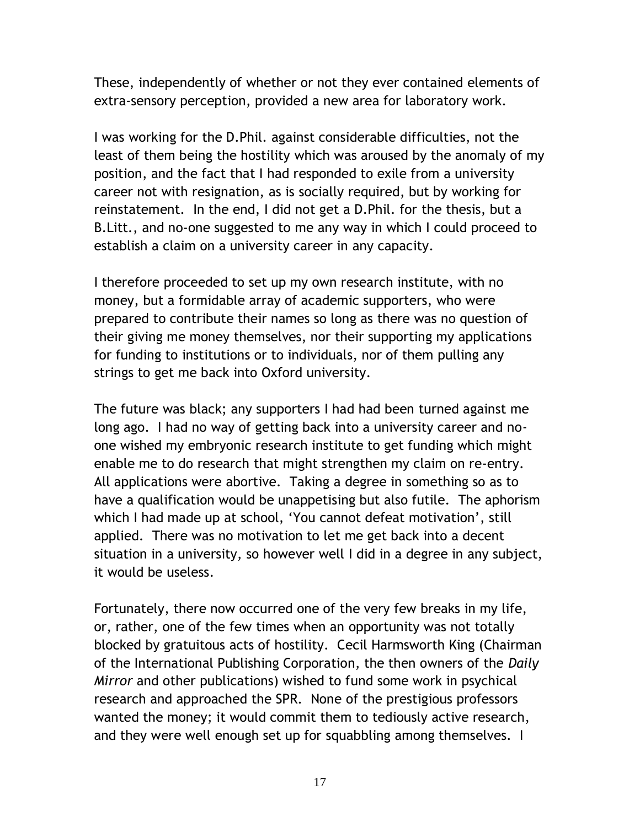These, independently of whether or not they ever contained elements of extra-sensory perception, provided a new area for laboratory work.

I was working for the D.Phil. against considerable difficulties, not the least of them being the hostility which was aroused by the anomaly of my position, and the fact that I had responded to exile from a university career not with resignation, as is socially required, but by working for reinstatement. In the end, I did not get a D.Phil. for the thesis, but a B.Litt., and no-one suggested to me any way in which I could proceed to establish a claim on a university career in any capacity.

I therefore proceeded to set up my own research institute, with no money, but a formidable array of academic supporters, who were prepared to contribute their names so long as there was no question of their giving me money themselves, nor their supporting my applications for funding to institutions or to individuals, nor of them pulling any strings to get me back into Oxford university.

The future was black; any supporters I had had been turned against me long ago. I had no way of getting back into a university career and noone wished my embryonic research institute to get funding which might enable me to do research that might strengthen my claim on re-entry. All applications were abortive. Taking a degree in something so as to have a qualification would be unappetising but also futile. The aphorism which I had made up at school, 'You cannot defeat motivation', still applied. There was no motivation to let me get back into a decent situation in a university, so however well I did in a degree in any subject, it would be useless.

Fortunately, there now occurred one of the very few breaks in my life, or, rather, one of the few times when an opportunity was not totally blocked by gratuitous acts of hostility. Cecil Harmsworth King (Chairman of the International Publishing Corporation, the then owners of the *Daily Mirror* and other publications) wished to fund some work in psychical research and approached the SPR. None of the prestigious professors wanted the money; it would commit them to tediously active research, and they were well enough set up for squabbling among themselves. I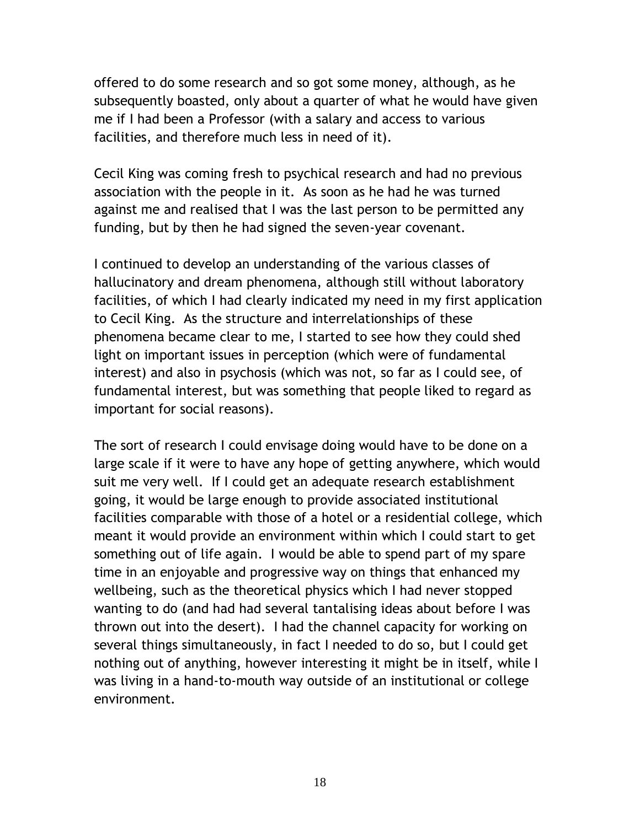offered to do some research and so got some money, although, as he subsequently boasted, only about a quarter of what he would have given me if I had been a Professor (with a salary and access to various facilities, and therefore much less in need of it).

Cecil King was coming fresh to psychical research and had no previous association with the people in it. As soon as he had he was turned against me and realised that I was the last person to be permitted any funding, but by then he had signed the seven-year covenant.

I continued to develop an understanding of the various classes of hallucinatory and dream phenomena, although still without laboratory facilities, of which I had clearly indicated my need in my first application to Cecil King. As the structure and interrelationships of these phenomena became clear to me, I started to see how they could shed light on important issues in perception (which were of fundamental interest) and also in psychosis (which was not, so far as I could see, of fundamental interest, but was something that people liked to regard as important for social reasons).

The sort of research I could envisage doing would have to be done on a large scale if it were to have any hope of getting anywhere, which would suit me very well. If I could get an adequate research establishment going, it would be large enough to provide associated institutional facilities comparable with those of a hotel or a residential college, which meant it would provide an environment within which I could start to get something out of life again. I would be able to spend part of my spare time in an enjoyable and progressive way on things that enhanced my wellbeing, such as the theoretical physics which I had never stopped wanting to do (and had had several tantalising ideas about before I was thrown out into the desert). I had the channel capacity for working on several things simultaneously, in fact I needed to do so, but I could get nothing out of anything, however interesting it might be in itself, while I was living in a hand-to-mouth way outside of an institutional or college environment.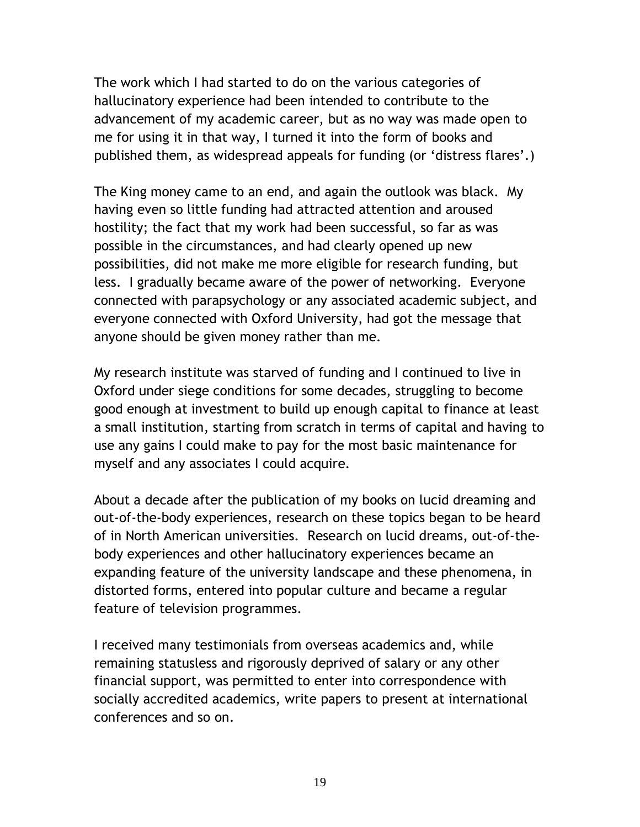The work which I had started to do on the various categories of hallucinatory experience had been intended to contribute to the advancement of my academic career, but as no way was made open to me for using it in that way, I turned it into the form of books and published them, as widespread appeals for funding (or "distress flares".)

The King money came to an end, and again the outlook was black. My having even so little funding had attracted attention and aroused hostility; the fact that my work had been successful, so far as was possible in the circumstances, and had clearly opened up new possibilities, did not make me more eligible for research funding, but less. I gradually became aware of the power of networking. Everyone connected with parapsychology or any associated academic subject, and everyone connected with Oxford University, had got the message that anyone should be given money rather than me.

My research institute was starved of funding and I continued to live in Oxford under siege conditions for some decades, struggling to become good enough at investment to build up enough capital to finance at least a small institution, starting from scratch in terms of capital and having to use any gains I could make to pay for the most basic maintenance for myself and any associates I could acquire.

About a decade after the publication of my books on lucid dreaming and out-of-the-body experiences, research on these topics began to be heard of in North American universities. Research on lucid dreams, out-of-thebody experiences and other hallucinatory experiences became an expanding feature of the university landscape and these phenomena, in distorted forms, entered into popular culture and became a regular feature of television programmes.

I received many testimonials from overseas academics and, while remaining statusless and rigorously deprived of salary or any other financial support, was permitted to enter into correspondence with socially accredited academics, write papers to present at international conferences and so on.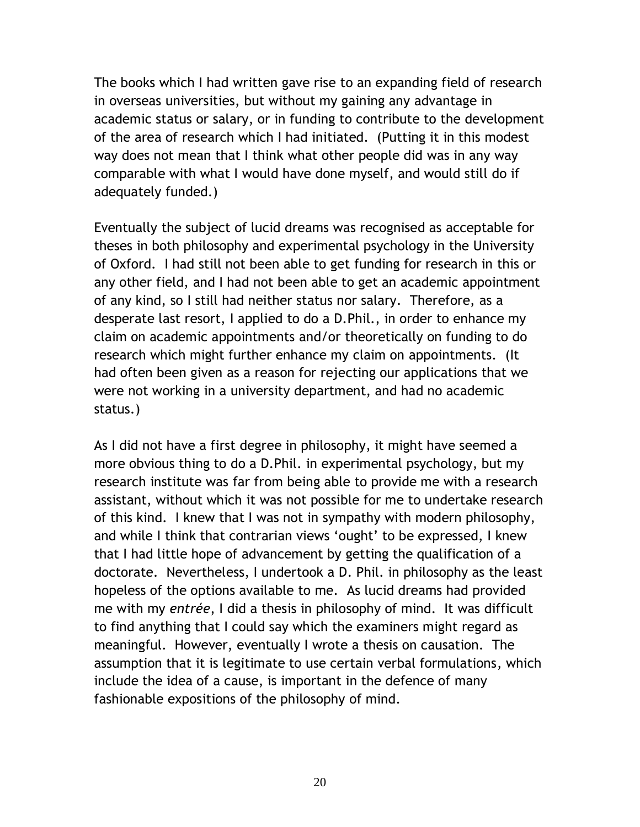The books which I had written gave rise to an expanding field of research in overseas universities, but without my gaining any advantage in academic status or salary, or in funding to contribute to the development of the area of research which I had initiated. (Putting it in this modest way does not mean that I think what other people did was in any way comparable with what I would have done myself, and would still do if adequately funded.)

Eventually the subject of lucid dreams was recognised as acceptable for theses in both philosophy and experimental psychology in the University of Oxford. I had still not been able to get funding for research in this or any other field, and I had not been able to get an academic appointment of any kind, so I still had neither status nor salary. Therefore, as a desperate last resort, I applied to do a D.Phil., in order to enhance my claim on academic appointments and/or theoretically on funding to do research which might further enhance my claim on appointments. (It had often been given as a reason for rejecting our applications that we were not working in a university department, and had no academic status.)

As I did not have a first degree in philosophy, it might have seemed a more obvious thing to do a D.Phil. in experimental psychology, but my research institute was far from being able to provide me with a research assistant, without which it was not possible for me to undertake research of this kind. I knew that I was not in sympathy with modern philosophy, and while I think that contrarian views 'ought' to be expressed, I knew that I had little hope of advancement by getting the qualification of a doctorate. Nevertheless, I undertook a D. Phil. in philosophy as the least hopeless of the options available to me. As lucid dreams had provided me with my *entrée*, I did a thesis in philosophy of mind. It was difficult to find anything that I could say which the examiners might regard as meaningful. However, eventually I wrote a thesis on causation. The assumption that it is legitimate to use certain verbal formulations, which include the idea of a cause, is important in the defence of many fashionable expositions of the philosophy of mind.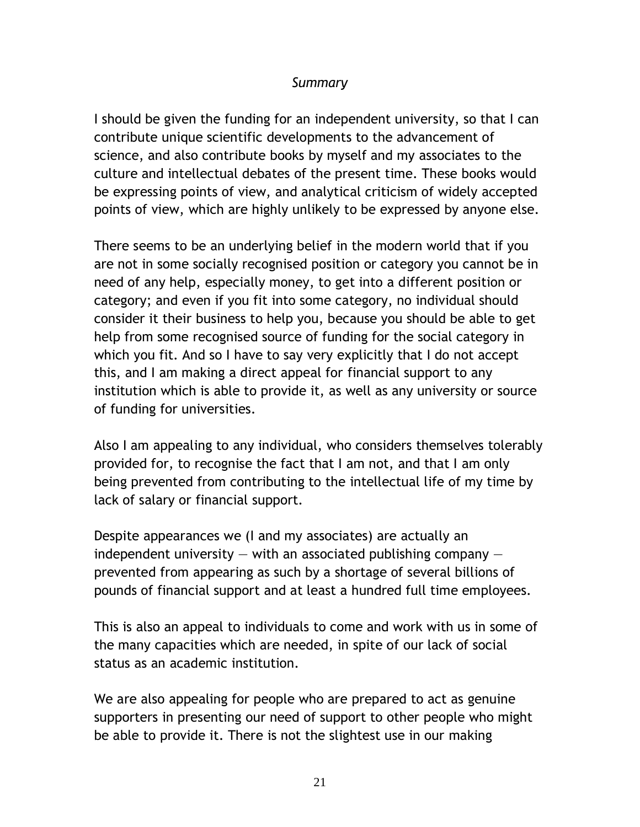## *Summary*

I should be given the funding for an independent university, so that I can contribute unique scientific developments to the advancement of science, and also contribute books by myself and my associates to the culture and intellectual debates of the present time. These books would be expressing points of view, and analytical criticism of widely accepted points of view, which are highly unlikely to be expressed by anyone else.

There seems to be an underlying belief in the modern world that if you are not in some socially recognised position or category you cannot be in need of any help, especially money, to get into a different position or category; and even if you fit into some category, no individual should consider it their business to help you, because you should be able to get help from some recognised source of funding for the social category in which you fit. And so I have to say very explicitly that I do not accept this, and I am making a direct appeal for financial support to any institution which is able to provide it, as well as any university or source of funding for universities.

Also I am appealing to any individual, who considers themselves tolerably provided for, to recognise the fact that I am not, and that I am only being prevented from contributing to the intellectual life of my time by lack of salary or financial support.

Despite appearances we (I and my associates) are actually an independent university  $-$  with an associated publishing company  $$ prevented from appearing as such by a shortage of several billions of pounds of financial support and at least a hundred full time employees.

This is also an appeal to individuals to come and work with us in some of the many capacities which are needed, in spite of our lack of social status as an academic institution.

We are also appealing for people who are prepared to act as genuine supporters in presenting our need of support to other people who might be able to provide it. There is not the slightest use in our making